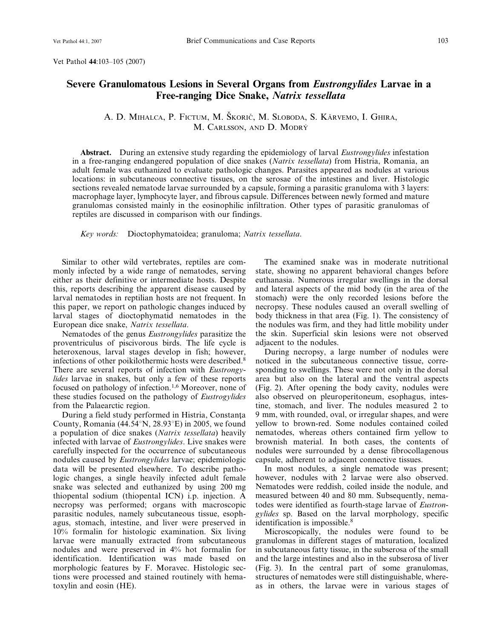Vet Pathol 44:103–105 (2007)

## Severe Granulomatous Lesions in Several Organs from Eustrongylides Larvae in a

A. D. MIHALCA, P. FICTUM, M. ŠKORIČ, M. SLOBODA, S. KÄRVEMO, I. GHIRA, M. CARLSSON, AND D. MODRY´

Free-ranging Dice Snake, Natrix tessellata

Abstract. During an extensive study regarding the epidemiology of larval *Eustrongylides* infestation in a free-ranging endangered population of dice snakes (Natrix tessellata) from Histria, Romania, an adult female was euthanized to evaluate pathologic changes. Parasites appeared as nodules at various locations: in subcutaneous connective tissues, on the serosae of the intestines and liver. Histologic sections revealed nematode larvae surrounded by a capsule, forming a parasitic granuloma with 3 layers: macrophage layer, lymphocyte layer, and fibrous capsule. Differences between newly formed and mature granulomas consisted mainly in the eosinophilic infiltration. Other types of parasitic granulomas of reptiles are discussed in comparison with our findings.

Key words: Dioctophymatoidea; granuloma; Natrix tessellata.

Similar to other wild vertebrates, reptiles are commonly infected by a wide range of nematodes, serving either as their definitive or intermediate hosts. Despite this, reports describing the apparent disease caused by larval nematodes in reptilian hosts are not frequent. In this paper, we report on pathologic changes induced by larval stages of dioctophymatid nematodes in the European dice snake, Natrix tessellata.

Nematodes of the genus Eustrongylides parasitize the proventriculus of piscivorous birds. The life cycle is heteroxenous, larval stages develop in fish; however, infections of other poikilothermic hosts were described.<sup>8</sup> There are several reports of infection with Eustrongylides larvae in snakes, but only a few of these reports focused on pathology of infection.1,6 Moreover, none of these studies focused on the pathology of Eustrogylides from the Palaearctic region.

During a field study performed in Histria, Constanta County, Romania  $(44.54^{\circ}N, 28.93^{\circ}E)$  in 2005, we found a population of dice snakes (Natrix tessellata) heavily infected with larvae of Eustrongylides. Live snakes were carefully inspected for the occurrence of subcutaneous nodules caused by Eustrongylides larvae; epidemiologic data will be presented elsewhere. To describe pathologic changes, a single heavily infected adult female snake was selected and euthanized by using 200 mg thiopental sodium (thiopental ICN) i.p. injection. A necropsy was performed; organs with macroscopic parasitic nodules, namely subcutaneous tissue, esophagus, stomach, intestine, and liver were preserved in 10% formalin for histologic examination. Six living larvae were manually extracted from subcutaneous nodules and were preserved in 4% hot formalin for identification. Identification was made based on morphologic features by F. Moravec. Histologic sections were processed and stained routinely with hematoxylin and eosin (HE).

The examined snake was in moderate nutritional state, showing no apparent behavioral changes before euthanasia. Numerous irregular swellings in the dorsal and lateral aspects of the mid body (in the area of the stomach) were the only recorded lesions before the necropsy. These nodules caused an overall swelling of body thickness in that area (Fig. 1). The consistency of the nodules was firm, and they had little mobility under the skin. Superficial skin lesions were not observed adjacent to the nodules.

During necropsy, a large number of nodules were noticed in the subcutaneous connective tissue, corresponding to swellings. These were not only in the dorsal area but also on the lateral and the ventral aspects (Fig. 2). After opening the body cavity, nodules were also observed on pleuroperitoneum, esophagus, intestine, stomach, and liver. The nodules measured 2 to 9 mm, with rounded, oval, or irregular shapes, and were yellow to brown-red. Some nodules contained coiled nematodes, whereas others contained firm yellow to brownish material. In both cases, the contents of nodules were surrounded by a dense fibrocollagenous capsule, adherent to adjacent connective tissues.

In most nodules, a single nematode was present; however, nodules with 2 larvae were also observed. Nematodes were reddish, coiled inside the nodule, and measured between 40 and 80 mm. Subsequently, nematodes were identified as fourth-stage larvae of Eustrongylides sp. Based on the larval morphology, specific identification is impossible.<sup>8</sup>

Microscopically, the nodules were found to be granulomas in different stages of maturation, localized in subcutaneous fatty tissue, in the subserosa of the small and the large intestines and also in the subserosa of liver (Fig. 3). In the central part of some granulomas, structures of nematodes were still distinguishable, whereas in others, the larvae were in various stages of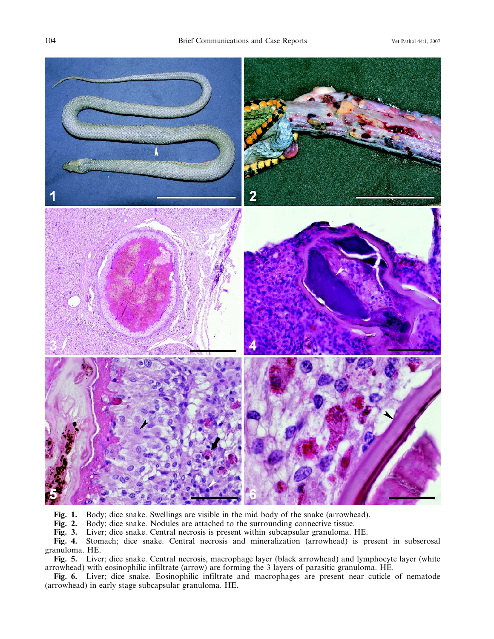

Fig. 1. Body; dice snake. Swellings are visible in the mid body of the snake (arrowhead).<br>Fig. 2. Body; dice snake. Nodules are attached to the surrounding connective tissue.

Fig. 2. Body; dice snake. Nodules are attached to the surrounding connective tissue.<br>Fig. 3. Liver; dice snake. Central necrosis is present within subcapsular granuloma. I Fig. 3. Liver; dice snake. Central necrosis is present within subcapsular granuloma. HE.<br>Fig. 4. Stomach; dice snake. Central necrosis and mineralization (arrowhead) is p

Stomach; dice snake. Central necrosis and mineralization (arrowhead) is present in subserosal granuloma. HE.

Fig. 5. Liver; dice snake. Central necrosis, macrophage layer (black arrowhead) and lymphocyte layer (white arrowhead) with eosinophilic infiltrate (arrow) are forming the 3 layers of parasitic granuloma. HE.

Fig. 6. Liver; dice snake. Eosinophilic infiltrate and macrophages are present near cuticle of nematode (arrowhead) in early stage subcapsular granuloma. HE.